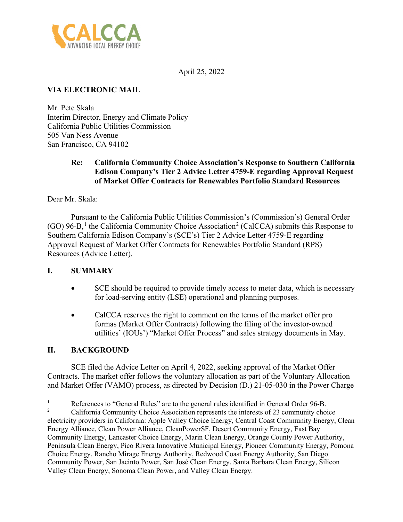

April 25, 2022

# **VIA ELECTRONIC MAIL**

Mr. Pete Skala Interim Director, Energy and Climate Policy California Public Utilities Commission 505 Van Ness Avenue San Francisco, CA 94102

### **Re: California Community Choice Association's Response to Southern California Edison Company's Tier 2 Advice Letter 4759-E regarding Approval Request of Market Offer Contracts for Renewables Portfolio Standard Resources**

Dear Mr. Skala:

Pursuant to the California Public Utilities Commission's (Commission's) General Order  $(GO)$  96-B,<sup>[1](#page-0-0)</sup> the California Community Choice Association<sup>[2](#page-0-1)</sup> (CalCCA) submits this Response to Southern California Edison Company's (SCE's) Tier 2 Advice Letter 4759-E regarding Approval Request of Market Offer Contracts for Renewables Portfolio Standard (RPS) Resources (Advice Letter).

### **I. SUMMARY**

- SCE should be required to provide timely access to meter data, which is necessary for load-serving entity (LSE) operational and planning purposes.
- CalCCA reserves the right to comment on the terms of the market offer pro formas (Market Offer Contracts) following the filing of the investor-owned utilities' (IOUs') "Market Offer Process" and sales strategy documents in May.

## **II. BACKGROUND**

SCE filed the Advice Letter on April 4, 2022, seeking approval of the Market Offer Contracts. The market offer follows the voluntary allocation as part of the Voluntary Allocation and Market Offer (VAMO) process, as directed by Decision (D.) 21-05-030 in the Power Charge

<span id="page-0-0"></span>1 References to "General Rules" are to the general rules identified in General Order 96-B.

<span id="page-0-1"></span><sup>2</sup> California Community Choice Association represents the interests of 23 community choice electricity providers in California: Apple Valley Choice Energy, Central Coast Community Energy, Clean Energy Alliance, Clean Power Alliance, CleanPowerSF, Desert Community Energy, East Bay Community Energy, Lancaster Choice Energy, Marin Clean Energy, Orange County Power Authority, Peninsula Clean Energy, Pico Rivera Innovative Municipal Energy, Pioneer Community Energy, Pomona Choice Energy, Rancho Mirage Energy Authority, Redwood Coast Energy Authority, San Diego Community Power, San Jacinto Power, San José Clean Energy, Santa Barbara Clean Energy, Silicon Valley Clean Energy, Sonoma Clean Power, and Valley Clean Energy.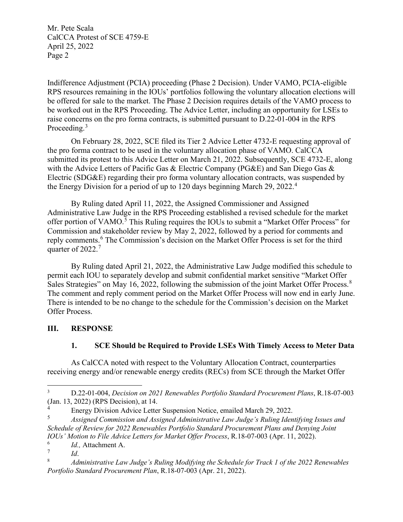Mr. Pete Scala CalCCA Protest of SCE 4759-E April 25, 2022 Page 2

Indifference Adjustment (PCIA) proceeding (Phase 2 Decision). Under VAMO, PCIA-eligible RPS resources remaining in the IOUs' portfolios following the voluntary allocation elections will be offered for sale to the market. The Phase 2 Decision requires details of the VAMO process to be worked out in the RPS Proceeding. The Advice Letter, including an opportunity for LSEs to raise concerns on the pro forma contracts, is submitted pursuant to D.22-01-004 in the RPS Proceeding.<sup>[3](#page-1-0)</sup>

On February 28, 2022, SCE filed its Tier 2 Advice Letter 4732-E requesting approval of the pro forma contract to be used in the voluntary allocation phase of VAMO. CalCCA submitted its protest to this Advice Letter on March 21, 2022. Subsequently, SCE 4732-E, along with the Advice Letters of Pacific Gas & Electric Company (PG&E) and San Diego Gas & Electric (SDG&E) regarding their pro forma voluntary allocation contracts, was suspended by the Energy Division for a period of up to 120 days beginning March 29, 2022.[4](#page-1-1)

By Ruling dated April 11, 2022, the Assigned Commissioner and Assigned Administrative Law Judge in the RPS Proceeding established a revised schedule for the market offer portion of VAMO.<sup>[5](#page-1-2)</sup> This Ruling requires the IOUs to submit a "Market Offer Process" for Commission and stakeholder review by May 2, 2022, followed by a period for comments and reply comments.<sup>[6](#page-1-3)</sup> The Commission's decision on the Market Offer Process is set for the third quarter of 2022. $<sup>7</sup>$  $<sup>7</sup>$  $<sup>7</sup>$ </sup>

By Ruling dated April 21, 2022, the Administrative Law Judge modified this schedule to permit each IOU to separately develop and submit confidential market sensitive "Market Offer Sales Strategies" on May 16, 2022, following the submission of the joint Market Offer Process.<sup>[8](#page-1-5)</sup> The comment and reply comment period on the Market Offer Process will now end in early June. There is intended to be no change to the schedule for the Commission's decision on the Market Offer Process.

### **III. RESPONSE**

### **1. SCE Should be Required to Provide LSEs With Timely Access to Meter Data**

As CalCCA noted with respect to the Voluntary Allocation Contract, counterparties receiving energy and/or renewable energy credits (RECs) from SCE through the Market Offer

<span id="page-1-0"></span><sup>3</sup> D.22-01-004, *Decision on 2021 Renewables Portfolio Standard Procurement Plans*, R.18-07-003 (Jan. 13, 2022) (RPS Decision), at 14.

<span id="page-1-1"></span><sup>&</sup>lt;sup>4</sup><br>Energy Division Advice Letter Suspension Notice, emailed March 29, 2022.<br>Assigned Commission and Assigned Administrative Law Judge's Puling Iden

<span id="page-1-2"></span><sup>5</sup> *Assigned Commission and Assigned Administrative Law Judge's Ruling Identifying Issues and Schedule of Review for 2022 Renewables Portfolio Standard Procurement Plans and Denying Joint IOUs' Motion to File Advice Letters for Market Offer Process*, R.18-07-003 (Apr. 11, 2022).

<span id="page-1-4"></span><span id="page-1-3"></span><sup>6</sup>  $I_d^6$ . *Id.*, Attachment A.

*Id.* 

<span id="page-1-5"></span><sup>8</sup> *Administrative Law Judge's Ruling Modifying the Schedule for Track 1 of the 2022 Renewables Portfolio Standard Procurement Plan*, R.18-07-003 (Apr. 21, 2022).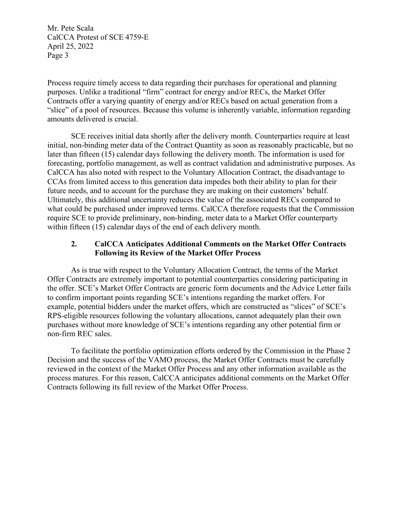Mr. Pete Scala CalCCA Protest of SCE 4759-E April 25, 2022 Page 3

Process require timely access to data regarding their purchases for operational and planning purposes. Unlike a traditional "firm" contract for energy and/or RECs, the Market Offer Contracts offer a varying quantity of energy and/or RECs based on actual generation from a "slice" of a pool of resources. Because this volume is inherently variable, information regarding amounts delivered is crucial.

SCE receives initial data shortly after the delivery month. Counterparties require at least initial, non-binding meter data of the Contract Quantity as soon as reasonably practicable, but no later than fifteen (15) calendar days following the delivery month. The information is used for forecasting, portfolio management, as well as contract validation and administrative purposes. As CalCCA has also noted with respect to the Voluntary Allocation Contract, the disadvantage to CCAs from limited access to this generation data impedes both their ability to plan for their future needs, and to account for the purchase they are making on their customers' behalf. Ultimately, this additional uncertainty reduces the value of the associated RECs compared to what could be purchased under improved terms. CalCCA therefore requests that the Commission require SCE to provide preliminary, non-binding, meter data to a Market Offer counterparty within fifteen (15) calendar days of the end of each delivery month.

#### **2. CalCCA Anticipates Additional Comments on the Market Offer Contracts Following its Review of the Market Offer Process**

As is true with respect to the Voluntary Allocation Contract, the terms of the Market Offer Contracts are extremely important to potential counterparties considering participating in the offer. SCE's Market Offer Contracts are generic form documents and the Advice Letter fails to confirm important points regarding SCE's intentions regarding the market offers. For example, potential bidders under the market offers, which are constructed as "slices" of SCE's RPS-eligible resources following the voluntary allocations, cannot adequately plan their own purchases without more knowledge of SCE's intentions regarding any other potential firm or non-firm REC sales.

To facilitate the portfolio optimization efforts ordered by the Commission in the Phase 2 Decision and the success of the VAMO process, the Market Offer Contracts must be carefully reviewed in the context of the Market Offer Process and any other information available as the process matures. For this reason, CalCCA anticipates additional comments on the Market Offer Contracts following its full review of the Market Offer Process.